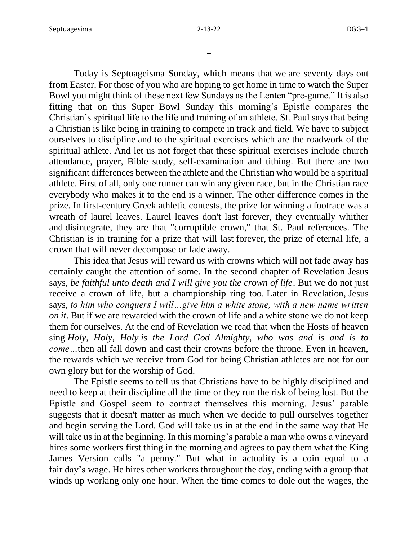+

Today is Septuageisma Sunday, which means that we are seventy days out from Easter. For those of you who are hoping to get home in time to watch the Super Bowl you might think of these next few Sundays as the Lenten "pre-game." It is also fitting that on this Super Bowl Sunday this morning's Epistle compares the Christian's spiritual life to the life and training of an athlete. St. Paul says that being a Christian is like being in training to compete in track and field. We have to subject ourselves to discipline and to the spiritual exercises which are the roadwork of the spiritual athlete. And let us not forget that these spiritual exercises include church attendance, prayer, Bible study, self-examination and tithing. But there are two significant differences between the athlete and the Christian who would be a spiritual athlete. First of all, only one runner can win any given race, but in the Christian race everybody who makes it to the end is a winner. The other difference comes in the prize. In first-century Greek athletic contests, the prize for winning a footrace was a wreath of laurel leaves. Laurel leaves don't last forever, they eventually whither and disintegrate, they are that "corruptible crown," that St. Paul references. The Christian is in training for a prize that will last forever, the prize of eternal life, a crown that will never decompose or fade away.

This idea that Jesus will reward us with crowns which will not fade away has certainly caught the attention of some. In the second chapter of Revelation Jesus says, *be faithful unto death and I will give you the crown of life*. But we do not just receive a crown of life, but a championship ring too. Later in Revelation, Jesus says, *to him who conquers I will…give him a white stone, with a new name written on it*. But if we are rewarded with the crown of life and a white stone we do not keep them for ourselves. At the end of Revelation we read that when the Hosts of heaven sing *Holy, Holy, Holy is the Lord God Almighty, who was and is and is to come…*then all fall down and cast their crowns before the throne. Even in heaven, the rewards which we receive from God for being Christian athletes are not for our own glory but for the worship of God.

The Epistle seems to tell us that Christians have to be highly disciplined and need to keep at their discipline all the time or they run the risk of being lost. But the Epistle and Gospel seem to contract themselves this morning. Jesus' parable suggests that it doesn't matter as much when we decide to pull ourselves together and begin serving the Lord. God will take us in at the end in the same way that He will take us in at the beginning. In this morning's parable a man who owns a vineyard hires some workers first thing in the morning and agrees to pay them what the King James Version calls "a penny." But what in actuality is a coin equal to a fair day's wage. He hires other workers throughout the day, ending with a group that winds up working only one hour. When the time comes to dole out the wages, the